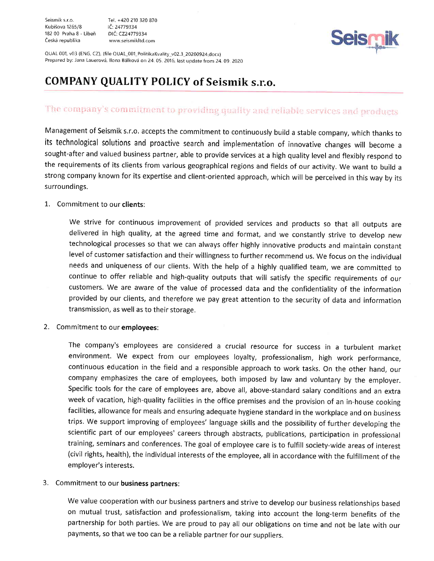Seismik s.r.o. Tel. +420 210 320 870 Kubišova 1265/8 <sup>182</sup>00 Praha 8 - Liberi DIC:C224779334 Cesk6 republika www.seismikltd.com



QUAL 001, v03 (ENG, CZ), (file QUAL\_001\_PolitikaKvality\_v02.3\_20200924.docx) Prepared by: Jana Lauerová, Ilona Bálková on 24.05. 2016, last update from 24.09. 2020

# COMPANY QUALITY POLICY of Seismik s.r.o.

# The company's commitment to providing quality and reliable services and products

Management of Seismik s.r.o. accepts the commitment to continuously build a stable company, which thanks to its technological solutions and proactive search and implementation of innovative changes will become <sup>a</sup> sought-after and valued business partner, able to provide services at a high quality level and flexibly respond to the requirements of its clients from various geographical regions and fields of our activity. We want to build <sup>a</sup> strong company known for its expertise and client-oriented approach, which will be perceived in this way by its surroundings.

## 1. Commitment to our **clients**:

we strive for continuous improvement of provided services and products so that all outputs are delivered in high quality, at the agreed time and format, and we constantly strive to develop new technological processes so that we can always offer highly innovative products and maintain constant level of customer satisfaction and their willingness to further recommend us. We focus on the individual needs and uniqueness of our clients. With the help of a highly qualified team, we are committed to continue to offer reliable and high-quality outputs that will satisfy the specific requirements of our customers. We are aware of the value of processed data and the confidentiality of the information provided by our clients, and therefore we pay great attention to the security of data and information transmission, as well as to their storage.

2. Commitment to our employees:

The company's employees are considered a crucial resource for success in a turbulent market environment. We expect from our employees loyalty, professionalism, high work performance, continuous education in the field and a responsible approach to work tasks. on the other hand, our company emphasizes the care of employees, both imposed by law and voluntary by the employer. Specific tools for the care of employees are, above all, above-standard salary conditions and an extra week of vacation, high-quality facilities in the office premises and the provision of an in-house cooking facilities, allowance for meals and ensuring adequate hygiene standard in the workplace and on business trips. We support improving of employees' language skills and the possibility of further developing the scientific part of our employees' careers through abstracts, publications, participation in professional training, seminars and conferences. The goal of employee care is to fulfill society-wide areas of interest (civil rights, health), the individual interests of the employee, all in accordance with the fulfillment of the employer's interests.

## 3. Commitment to our business partners:

We value cooperation with our business partners and strive to develop our business relationships based on mutual trust, satisfaction and professionalism, taking into account the long-term benefits of the partnership for both parties. We are proud to pay all our obligations on time and not be late with our payments, so that we too can be a reliable partner for our suppliers.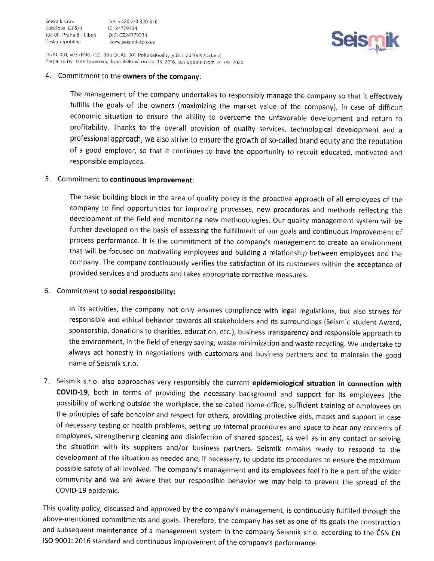Tel. +420 210 320 870 IC: 24779334 www.seismikitd.com



QUAL 001, v03 (ENG, CZ), (file QUAL\_001\_PolitikaKvality\_v02.3\_20200924.docx) Prepared by: Jana Lauerová, Ilona Bálková on 24.05. 2016, last update from 24.09. 2020

#### 4. Commitment to the owners of the company:

The management of the company undertakes to responsibly manage the company so that it effectively fulfills the goals of the owners (maximizing the market value of the company), in case of difficult economic situation to ensure the ability to overcome the unfavorable development and return to profitability. Thanks to the overall provision of quality services, technological development and a professional approach, we also strive to ensure the growth of so-called brand equity and the reputation of a good employer, so that it continues to have the opportunity to recruit educated, motivated and responsible employees.

### 5. Commitment to continuous improvement:

The basic building block in the area of quality policy is the proactive approach of all employees of the company to find opportunities for improving processes, new procedures and methods reflecting the development of the field and monitoring new methodologies. Our quality management system will be further developed on the basis of assessing the fulfillment of our goals and continuous improvement of process performance. It is the commitment of the company's management to create an environment that will be focused on motivating employees and building a relationship between employees and the company. The company continuously verifies the satisfaction of its customers within the acceptance of provided services and products and takes appropriate corrective measures.

#### 6. Commitment to social responsibility:

In its activities, the company not only ensures compliance with legal regulations, but also strives for responsible and ethical behavior towards all stakeholders and its surroundings (Seismic student Award, sponsorship, donations to charities, education, etc.), business transparency and responsible approach to the environment, in the field of energy saving, waste minimization and waste recycling. We undertake to always act honestly in negotiations with customers and business partners and to maintain the good name of Seismik s.r.o.

7. Seismik s.r.o. also approaches very responsibly the current epidemiological situation in connection with COVID-19, both in terms of providing the necessary background and support for its employees (the possibility of working outside the workplace, the so-called home-office, sufficient training of employees on the principles of safe behavior and respect for others, providing protective aids, masks and support in case of necessary testing or health problems, setting up internal procedures and space to hear any concerns of employees, strengthening cleaning and disinfection of shared spaces), as well as in any contact or solving the situation with its suppliers and/or business partners. Seismik remains ready to respond to the development of the situation as needed and, if necessary, to update its procedures to ensure the maximum possible safety of all involved. The company's management and its employees feel to be a part of the wider community and we are aware that our responsible behavior we may help to prevent the spread of the COVID-19 epidemic.

This quality policy, discussed and approved by the company's management, is continuously fulfilled through the above-mentioned commitments and goals. Therefore, the company has set as one of its goals the construction and subsequent maintenance of a management system in the company Seismik s.r.o. according to the CSN EN ISO 9001: 2016 standard and continuous improvement of the company's performance.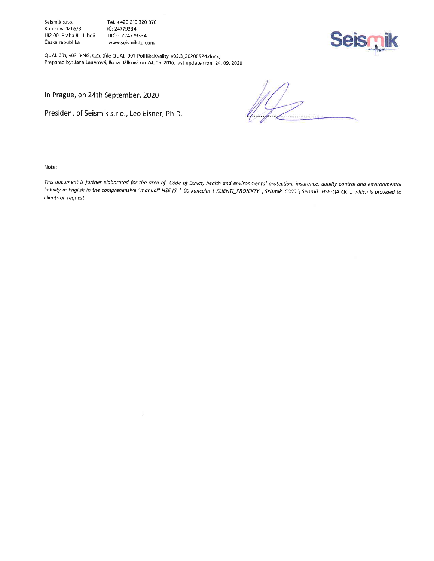Seismik s.r.o. Tel. +420 210 320 870<br>Kubišova 1265/8 Kubišova 1265/8 Kubišova 1265/8 lČ: 24779334<br>182 00 Praha 8 - Libeň DIČ: CZ24779334 182 00 Praha 8 - Libeň<br>Česká republika

www.seismikltd.com



QUAL 001, v03 (ENG, CZ), (file QUAL 001\_PolitikaKvality v02.3\_20200924.docx) Prepared by: Jana Lauerová, Ilona Bálková on 24 05. 2016, last update from 24.09. 2020

b.

In Prague, on 24th September, 2020

President of Seismik s.r.o., Leo Eisner, Ph.D.

frammontagement

Note:

This document is further elaborated for the area of Code of Ethics, health and environmental protection, insurance, quality control and environmental liability in English in the comprehensive "manual" HSE (S: \ 00-kancelar \ KLIENTI\_PROJEKTY \ Seismik\_C000 \ Seismik\_HSE-QA-QC ), which is provided to clients on request.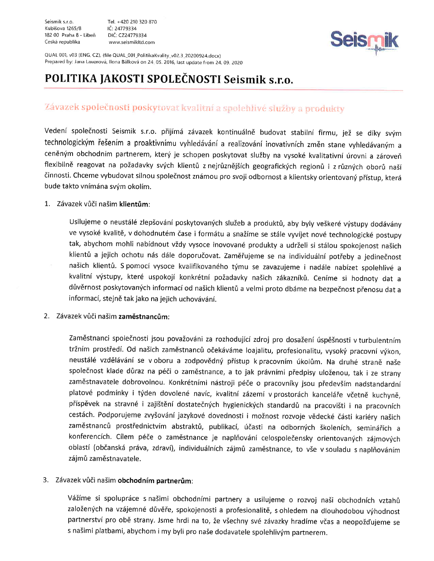Seismik s.r o. Tel. +420 2'10 320 B70 Kubišova 1265/8 182 00 Praha 8 - Libeň DIČ: CZ24779334 Ceská republika www.seismikltd.com



QUAL 001, v03 (ENG, CZ), (file QUAL\_001\_PolitikaKvality\_v02.3\_20200924.docx) Prepared by: Jana Lauerová, Ilona Bálková on 24. 05. 2016, last update from 24. 09. 2020

# POLITIKA JAKOSTI SPOLEČNOSTI Seismik s.r.o.

# Závazek společnosti poskytovat kvalitní a spolehlivé služby a produkty

Vedení společnosti Seismik s.r.o. přijímá závazek kontinuálně budovat stabilní firmu, jež se díky svým technologickým řešením a proaktivnímu vyhledávání a realizování inovativních změn stane vyhledávaným a ceněným obchodním partnerem, který je schopen poskytovat služby na vysoké kvalitativní úrovni a zároveň flexibilně reagovat na požadavky svých klientů z nejrůznějších geografických regionů i z různých oborů naší činnosti. Chceme vybudovat silnou společnost známou pro svoji odbornost a klientsky orientovaný přístup, která bude takto vnímána svým okolím.

## 1. Závazek vůči našim klientům:

Usilujeme o neustálé zlepšování poskytovaných služeb a produktů, aby byly veškeré výstupy dodávány ve vysoké kvalitě, v dohodnutém čase i formátu a snažíme se stále vyvíjet nové technologické postupy tak, abychom mohli nabídnout vždy vysoce inovované produkty a udrželi si stálou spokojenost našich klientů a jejich ochotu nás dále doporučovat. Zaměřujeme se na individuální potřeby a jedinečnost našich klientů. S pomocí vysoce kvalifikovaného týmu se zavazujeme i nadále nabízet spolehlivé a kvalitní výstupy, které uspokojí konkrétní požadavky našich zákazníků. Ceníme si hodnoty dat a důvěrnost poskytovaných informací od našich klientů a velmi proto dbáme na bezpečnost přenosu dat a informací, stejně tak jako na jejich uchovávání.

2. Závazek vůči našim zaměstnancům:

Zaměstnanci společnosti jsou považováni za rozhodující zdroj pro dosažení úspěšnosti v turbulentním tržním prostředí. Od našich zaměstnanců očekáváme loajalitu, profesionalitu, vysoký pracovní výkon, neustálé vzdělávání se v oboru a zodpovědný přístup k pracovním úkolům. Na druhé straně naše společnost klade důraz na péči o zaměstnance, a to jak právními předpisy uloženou, tak i ze strany zaměstnavatele dobrovolnou. Konkrétními nástroji péče o pracovníky jsou především nadstandardní platové podmínky i týden dovolené navíc, kvalitní zázemí v prostorách kanceláře včetně kuchyně, příspěvek na stravné i zajištění dostatečných hygienických standardů na pracovišti i na pracovních cestách. Podporujeme zvyšování jazykové dovednosti i možnost rozvoje vědecké části kariéry našich zaměstnanců prostřednictvím abstraktů, publikací, účasti na odborných školeních, seminářích a konferencích. Cílem péče o zaměstnance je naplňování celospolečensky orientovaných zájmových oblastí (občanská práva, zdraví), individuálních zájmů zaměstnance, to vše v souladu s naplňováním zájmů zaměstnavatele.

## 3. Závazek vůči našim obchodním partnerům:

Vážíme si spolupráce s našimi obchodními partnery a usilujeme o rozvoj naši obchodních vztahů založených na vzájemné důvěře, spokojenosti a profesionalitě, s ohledem na dlouhodobou výhodnost partnerství pro obě strany. Jsme hrdi na to, že všechny své závazky hradíme včas a neopožďujeme se s našimi platbami, abychom i my byli pro naše dodavatele spolehlivým partnerem.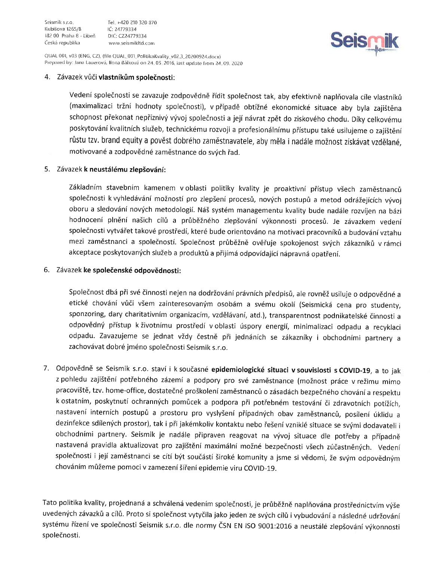Tel +420 210 320 870 tc, 24t79334 www.seismikltd.com



QUAL 001, v03 (ENG, CZ), (file QUAL\_001\_PolitikaKvality\_v02.3 20200924.docx) Prepared by: Jana Lauerová, llona Bálková on 24, 05, 2016, last update from 24, 09. 2020

# 4. Závazek vůči **vlastníkům společnosti**:

Vedení společnosti se zavazuje zodpovědně řídit společnost tak, aby efektivně naplňovala cíle vlastníků (maximalizaci tržní hodnoty společnosti), v případě obtížné ekonomické situace aby byla zajištěna schopnost překonat nepříznivý vývoj společnosti a její návrat zpět do ziskového chodu. Díky celkovému poskytování kvalitních služeb, technickému rozvoji a profesionálnímu přístupu také usilujeme o zajištění růstu tzv. brand equity a pověst dobrého zaměstnavatele, aby měla i nadále možnost získávat vzdělané, motivované a zodpovědné zaměstnance do svých řad.

### 5. Závazek **k neustálému zlepšování**:

Základním stavebním kamenem v oblasti politiky kvality je proaktivní přístup všech zaměstnanců společnosti k vyhledávání možností pro zlepšení procesů, nových postupů a metod odrážejících vývoj oboru a sledování nových metodologií. Náš systém managementu kvality bude nadále rozvíjen na bázi hodnocení plnění našich cílů a průběžného zlepšování výkonnosti procesů. Je závazkem vedení společnosti vytvářet takové prostředí, které bude orientováno na motivaci pracovníků a budování vztahu mezi zaměstnanci a společností. Společnost průběžně ověřuje spokojenost svých zákazníků v rámci akceptace poskytovaných služeb a produktů a přijímá odpovídající nápravná opatření.

### 6. Závazek **ke společenské odpovědnosti:**

Společnost dbá při své činnosti nejen na dodržování právních předpisů, ale rovněž usiluje o odpovědné a etické chování vůči všem zainteresovaným osobám a svému okolí (Seismická cena pro studenty, sponzoring, dary charitativním organizacím, vzdělávaní, atd.), transparentnost podnikatelské činnosti a odpovědný přístup k životnímu prostředí v oblasti úspory energií, minimalizaci odpadu a recyklaci odpadu. Zavazujeme se jednat vždy čestně při jednáních se zákazníky i obchodními partnery a zachovávat dobré jméno společnosti Seismik s.r.o.

7. Odpovědně se Seismik s.r.o. staví i k současné epidemiologické situaci v souvislosti s COVID-19, a to jak z pohledu zajištění potřebného zázemí a podpory pro své zaměstnance (možnost práce v režimu mimo pracoviště, tzv. home-office, dostatečné proškolení zaměstnanců o zásadách bezpečného chování a respektu k ostatním, poskytnutí ochranných pomůcek a podpora při potřebném testování či zdravotních potížích, nastavení interních postupů a prostoru pro vyslyšení případných obav zaměstnanců, posílení úklidu a dezinfekce sdílených prostor), tak i při jakémkoliv kontaktu nebo řešení vzniklé situace se svými dodavateli i obchodními partnery. Seismik je nadále připraven reagovat na vývoj situace dle potřeby a případně nastavená pravidla aktualizovat pro zajištění maximální možné bezpečnosti všech zúčastněných. Vedení společnosti i její zaměstnanci se cítí být součástí široké komunity a jsme si vědomi, že svým odpovědným chováním můžeme pomoci v zamezení šíření epidemie viru COVID-19.

Tato politika kvality, projednaná a schválená vedením společnosti, je průběžně naplňována prostřednictvím výše uvedených závazků a cílů. Proto si společnost vytyčila jako jeden ze svých cílů i vybudování a následné udržování systému řízení ve společnosti Seismik s.r.o. dle normy ČSN EN ISO 9001:2016 a neustálé zlepšování výkonnosti společnosti.